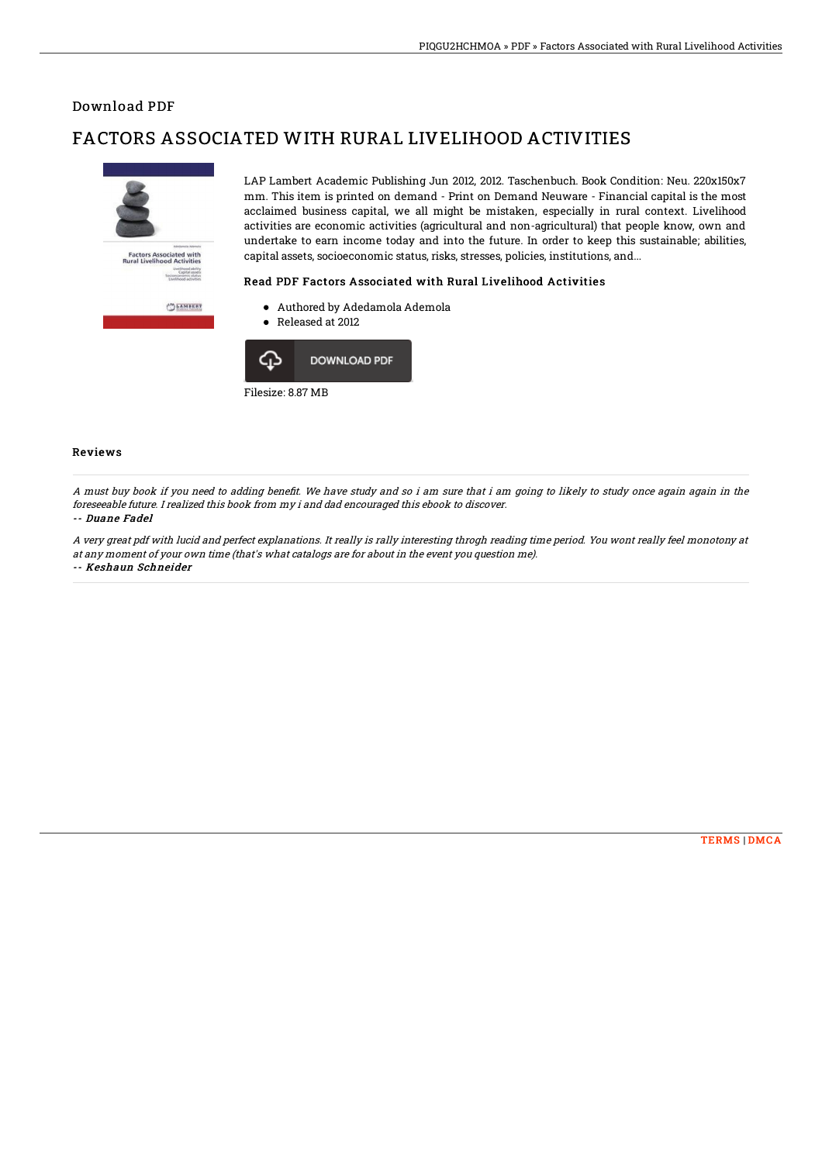### Download PDF

# FACTORS ASSOCIATED WITH RURAL LIVELIHOOD ACTIVITIES



LAP Lambert Academic Publishing Jun 2012, 2012. Taschenbuch. Book Condition: Neu. 220x150x7 mm. This item is printed on demand - Print on Demand Neuware - Financial capital is the most acclaimed business capital, we all might be mistaken, especially in rural context. Livelihood activities are economic activities (agricultural and non-agricultural) that people know, own and undertake to earn income today and into the future. In order to keep this sustainable; abilities, capital assets, socioeconomic status, risks, stresses, policies, institutions, and...

#### Read PDF Factors Associated with Rural Livelihood Activities

- Authored by Adedamola Ademola
- Released at 2012



#### Reviews

A must buy book if you need to adding benefit. We have study and so i am sure that i am going to likely to study once again again in the foreseeable future. I realized this book from my i and dad encouraged this ebook to discover.

#### -- Duane Fadel

A very great pdf with lucid and perfect explanations. It really is rally interesting throgh reading time period. You wont really feel monotony at at any moment of your own time (that's what catalogs are for about in the event you question me). -- Keshaun Schneider

[TERMS](http://techno-pub.tech/terms.html) | [DMCA](http://techno-pub.tech/dmca.html)